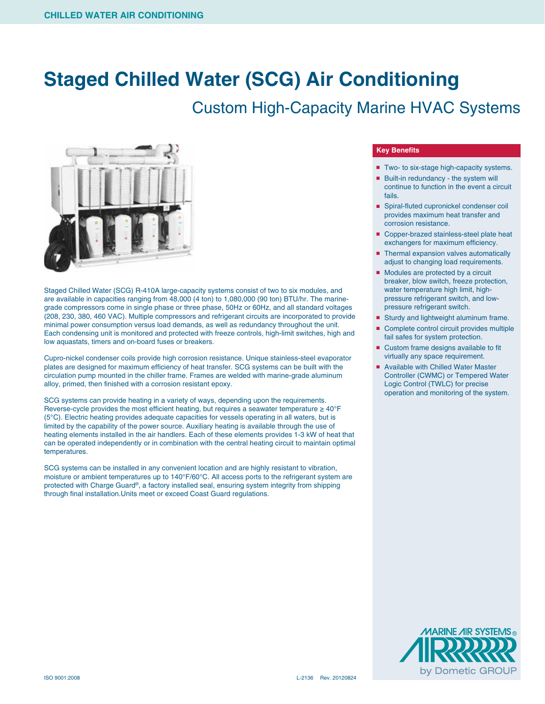## **Staged Chilled Water (SCG) Air Conditioning**

## Custom High-Capacity Marine HVAC Systems



Staged Chilled Water (SCG) R-410A large-capacity systems consist of two to six modules, and are available in capacities ranging from 48,000 (4 ton) to 1,080,000 (90 ton) BTU/hr. The marinegrade compressors come in single phase or three phase, 50Hz or 60Hz, and all standard voltages (208, 230, 380, 460 VAC). Multiple compressors and refrigerant circuits are incorporated to provide minimal power consumption versus load demands, as well as redundancy throughout the unit. Each condensing unit is monitored and protected with freeze controls, high-limit switches, high and low aquastats, timers and on-board fuses or breakers.

Cupro-nickel condenser coils provide high corrosion resistance. Unique stainless-steel evaporator plates are designed for maximum efficiency of heat transfer. SCG systems can be built with the circulation pump mounted in the chiller frame. Frames are welded with marine-grade aluminum alloy, primed, then finished with a corrosion resistant epoxy.

SCG systems can provide heating in a variety of ways, depending upon the requirements. Reverse-cycle provides the most efficient heating, but requires a seawater temperature  $\geq 40^{\circ}F$ (5°C). Electric heating provides adequate capacities for vessels operating in all waters, but is limited by the capability of the power source. Auxiliary heating is available through the use of heating elements installed in the air handlers. Each of these elements provides 1-3 kW of heat that can be operated independently or in combination with the central heating circuit to maintain optimal temperatures.

SCG systems can be installed in any convenient location and are highly resistant to vibration, moisture or ambient temperatures up to 140°F/60°C. All access ports to the refrigerant system are protected with Charge Guard®, a factory installed seal, ensuring system integrity from shipping through final installation.Units meet or exceed Coast Guard regulations.

## **Key Benefits**

- Two- to six-stage high-capacity systems.
- Built-in redundancy the system will continue to function in the event a circuit fails.
- Spiral-fluted cupronickel condenser coil provides maximum heat transfer and corrosion resistance.
- Copper-brazed stainless-steel plate heat exchangers for maximum efficiency.
- Thermal expansion valves automatically adjust to changing load requirements.
- Modules are protected by a circuit breaker, blow switch, freeze protection, water temperature high limit, highpressure refrigerant switch, and lowpressure refrigerant switch.
- Sturdy and lightweight aluminum frame.
- Complete control circuit provides multiple fail safes for system protection.
- Custom frame designs available to fit virtually any space requirement.
- Available with Chilled Water Master Controller (CWMC) or Tempered Water Logic Control (TWLC) for precise operation and monitoring of the system.